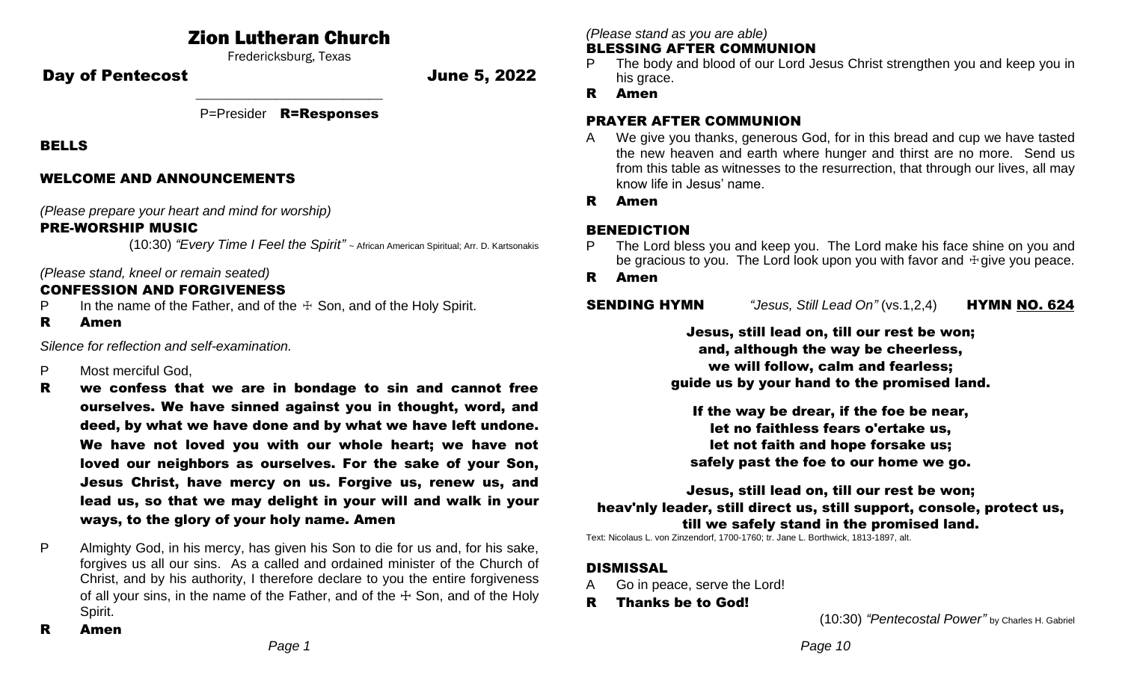# Zion Lutheran Church

Fredericksburg, Texas

Day of Pentecost **Day of Pentecost** 

\_\_\_\_\_\_\_\_\_\_\_\_\_\_\_\_\_\_\_\_\_\_\_\_\_\_\_\_ P=Presider R=Responses

BELLS

### WELCOME AND ANNOUNCEMENTS

*(Please prepare your heart and mind for worship)*

# PRE-WORSHIP MUSIC

(10:30) *"Every Time I Feel the Spirit"* ~ African American Spiritual; Arr. D. Kartsonakis

## *(Please stand, kneel or remain seated)*

# CONFESSION AND FORGIVENESS

- P In the name of the Father, and of the  $\pm$  Son, and of the Holy Spirit.
- R Amen

*Silence for reflection and self-examination.*

- P Most merciful God,
- R we confess that we are in bondage to sin and cannot free ourselves. We have sinned against you in thought, word, and deed, by what we have done and by what we have left undone. We have not loved you with our whole heart; we have not loved our neighbors as ourselves. For the sake of your Son, Jesus Christ, have mercy on us. Forgive us, renew us, and lead us, so that we may delight in your will and walk in your ways, to the glory of your holy name. Amen
- P Almighty God, in his mercy, has given his Son to die for us and, for his sake, forgives us all our sins. As a called and ordained minister of the Church of Christ, and by his authority, I therefore declare to you the entire forgiveness of all your sins, in the name of the Father, and of the  $\pm$  Son, and of the Holy Spirit.

*(Please stand as you are able)*

#### BLESSING AFTER COMMUNION

- The body and blood of our Lord Jesus Christ strengthen you and keep you in his grace.
- R Amen

## PRAYER AFTER COMMUNION

- A We give you thanks, generous God, for in this bread and cup we have tasted the new heaven and earth where hunger and thirst are no more. Send us from this table as witnesses to the resurrection, that through our lives, all may know life in Jesus' name.
- R Amen

# BENEDICTION

- The Lord bless you and keep you. The Lord make his face shine on you and be gracious to you. The Lord look upon you with favor and  $\dagger$  give you peace.
- R Amen

**SENDING HYMN** *"Jesus, Still Lead On"* (vs.1,2,4) **HYMN NO. 624** 

Jesus, still lead on, till our rest be won; and, although the way be cheerless, we will follow, calm and fearless; guide us by your hand to the promised land.

If the way be drear, if the foe be near, let no faithless fears o'ertake us, let not faith and hope forsake us; safely past the foe to our home we go.

Jesus, still lead on, till our rest be won; heav'nly leader, still direct us, still support, console, protect us, till we safely stand in the promised land.

Text: Nicolaus L. von Zinzendorf, 1700-1760; tr. Jane L. Borthwick, 1813-1897, alt.

# **DISMISSAL**

- Go in peace, serve the Lord!
- R Thanks be to God!

(10:30) *"Pentecostal Power"* by Charles H. Gabriel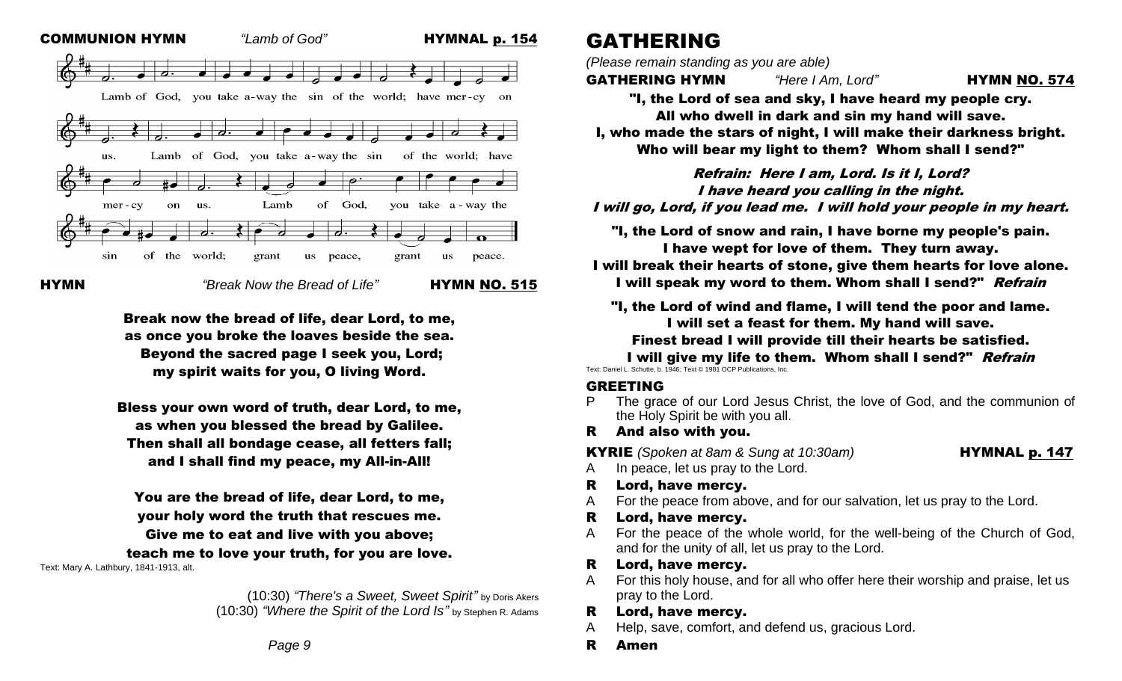

HYMN*"Break Now the Bread of Life"* HYMN NO. 515

Break now the bread of life, dear Lord, to me, as once you broke the loaves beside the sea. Beyond the sacred page I seek you, Lord; my spirit waits for you, O living Word.

Bless your own word of truth, dear Lord, to me, as when you blessed the bread by Galilee. Then shall all bondage cease, all fetters fall; and I shall find my peace, my All-in-All!

You are the bread of life, dear Lord, to me, your holy word the truth that rescues me. Give me to eat and live with you above; teach me to love your truth, for you are love. Text: Mary A. Lathbury, 1841-1913, alt.

> (10:30) *"There's a Sweet, Sweet Spirit"* by Doris Akers (10:30) *"Where the Spirit of the Lord Is"* by Stephen R. Adams

# GATHERING

*(Please remain standing as you are able)*

**GATHERING HYMN** *"Here I Am, Lord"* **HYMN NO. 574** 

"I, the Lord of sea and sky, I have heard my people cry. All who dwell in dark and sin my hand will save.

I, who made the stars of night, I will make their darkness bright. Who will bear my light to them? Whom shall I send?"

Refrain: Here I am, Lord. Is it I, Lord? I have heard you calling in the night. I will go, Lord, if you lead me. I will hold your people in my heart.

"I, the Lord of snow and rain, I have borne my people's pain. I have wept for love of them. They turn away.

I will break their hearts of stone, give them hearts for love alone. I will speak my word to them. Whom shall I send?" Refrain

"I, the Lord of wind and flame, I will tend the poor and lame. I will set a feast for them. My hand will save.

Finest bread I will provide till their hearts be satisfied.

I will give my life to them. Whom shall I send?" Refrain Text: Daniel L. Schutte, b. 1946; Text © 1981 OCP Publications, Inc.

#### GREETING

- P The grace of our Lord Jesus Christ, the love of God, and the communion of the Holy Spirit be with you all.
- R And also with you.

**KYRIE** *(Spoken at 8am & Sung at 10:30am)* **HYMNAL p. 147** 

- A In peace, let us pray to the Lord.
- R Lord, have mercy.
- A For the peace from above, and for our salvation, let us pray to the Lord.
- R Lord, have mercy.
- A For the peace of the whole world, for the well-being of the Church of God, and for the unity of all, let us pray to the Lord.

#### R Lord, have mercy.

For this holy house, and for all who offer here their worship and praise, let us pray to the Lord.

#### R Lord, have mercy.

- A Help, save, comfort, and defend us, gracious Lord.
- R Amen

*Page 9*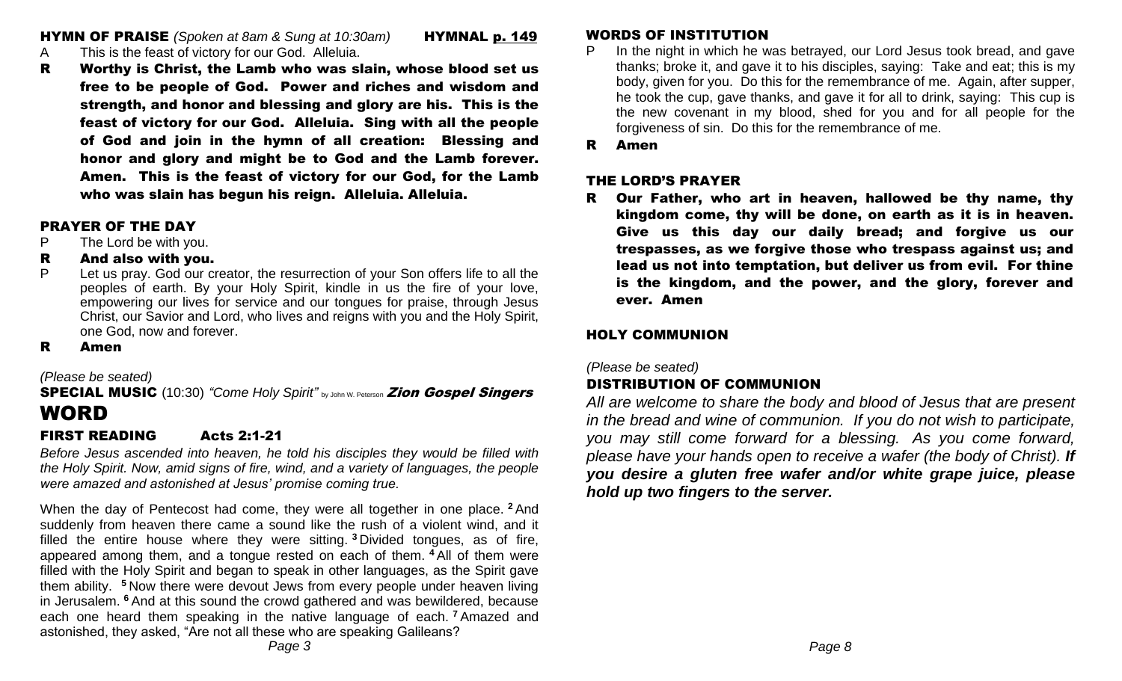**HYMN OF PRAISE** *(Spoken at 8am & Sung at 10:30am)* **HYMNAL p. 149** 

- A This is the feast of victory for our God. Alleluia.
- R Worthy is Christ, the Lamb who was slain, whose blood set us free to be people of God. Power and riches and wisdom and strength, and honor and blessing and glory are his. This is the feast of victory for our God. Alleluia. Sing with all the people of God and join in the hymn of all creation: Blessing and honor and glory and might be to God and the Lamb forever. Amen. This is the feast of victory for our God, for the Lamb who was slain has begun his reign. Alleluia. Alleluia.

#### PRAYER OF THE DAY

- P The Lord be with you.
- R And also with you.
- P Let us pray. God our creator, the resurrection of your Son offers life to all the peoples of earth. By your Holy Spirit, kindle in us the fire of your love, empowering our lives for service and our tongues for praise, through Jesus Christ, our Savior and Lord, who lives and reigns with you and the Holy Spirit, one God, now and forever.
- R Amen

*(Please be seated)*

# **SPECIAL MUSIC** (10:30) "Come Holy Spirit" by John W. Peterson **Zion Gospel Singers** WORD

## FIRST READING Acts 2:1-21

*Before Jesus ascended into heaven, he told his disciples they would be filled with the Holy Spirit. Now, amid signs of fire, wind, and a variety of languages, the people were amazed and astonished at Jesus' promise coming true.*

When the day of Pentecost had come, they were all together in one place. **<sup>2</sup>** And suddenly from heaven there came a sound like the rush of a violent wind, and it filled the entire house where they were sitting. **<sup>3</sup>** Divided tongues, as of fire, appeared among them, and a tongue rested on each of them. **<sup>4</sup>** All of them were filled with the Holy Spirit and began to speak in other languages, as the Spirit gave them ability. **<sup>5</sup>** Now there were devout Jews from every people under heaven living in Jerusalem. **<sup>6</sup>** And at this sound the crowd gathered and was bewildered, because each one heard them speaking in the native language of each. **<sup>7</sup>** Amazed and astonished, they asked, "Are not all these who are speaking Galileans?

- P In the night in which he was betrayed, our Lord Jesus took bread, and gave thanks; broke it, and gave it to his disciples, saying: Take and eat; this is my body, given for you. Do this for the remembrance of me. Again, after supper, he took the cup, gave thanks, and gave it for all to drink, saying: This cup is the new covenant in my blood, shed for you and for all people for the forgiveness of sin. Do this for the remembrance of me.
- R Amen

#### THE LORD'S PRAYER

R Our Father, who art in heaven, hallowed be thy name, thy kingdom come, thy will be done, on earth as it is in heaven. Give us this day our daily bread; and forgive us our trespasses, as we forgive those who trespass against us; and lead us not into temptation, but deliver us from evil. For thine is the kingdom, and the power, and the glory, forever and ever. Amen

## HOLY COMMUNION

*(Please be seated)*

# DISTRIBUTION OF COMMUNION

*All are welcome to share the body and blood of Jesus that are present in the bread and wine of communion. If you do not wish to participate, you may still come forward for a blessing. As you come forward, please have your hands open to receive a wafer (the body of Christ). If you desire a gluten free wafer and/or white grape juice, please hold up two fingers to the server.*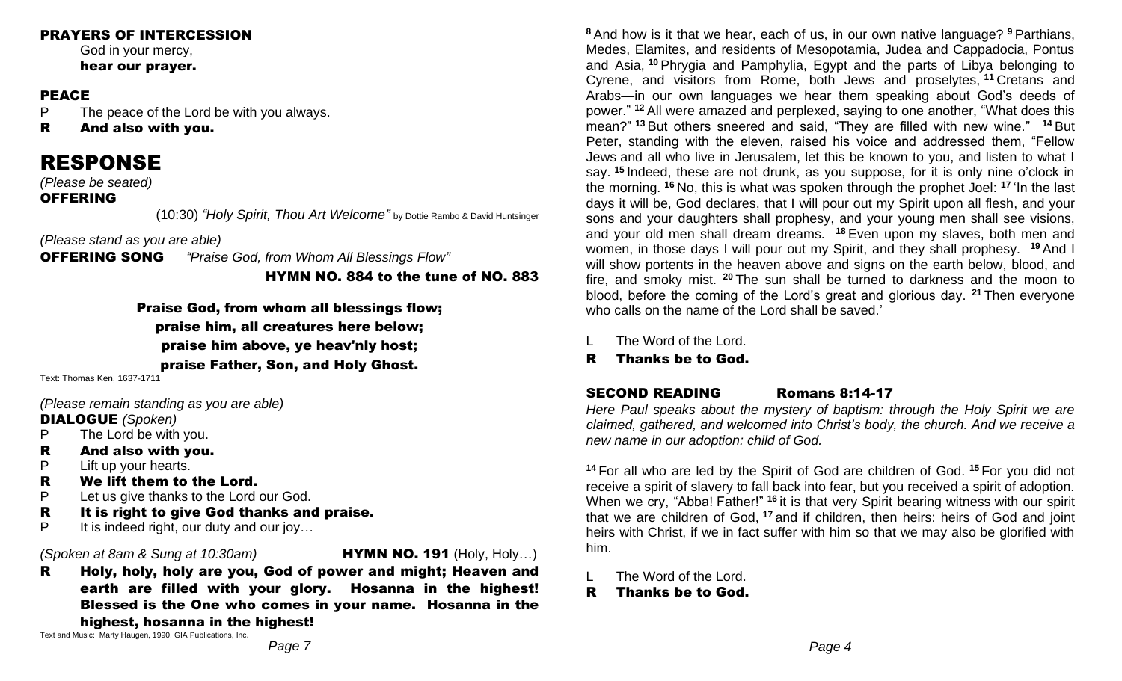#### PRAYERS OF INTERCESSION

God in your mercy, hear our prayer.

#### PEACE

P The peace of the Lord be with you always.

R And also with you.

# RESPONSE

*(Please be seated)* 

## OFFERING

(10:30) *"Holy Spirit, Thou Art Welcome"* by Dottie Rambo & David Huntsinger

*(Please stand as you are able)* 

OFFERING SONG *"Praise God, from Whom All Blessings Flow"*

HYMN NO. 884 to the tune of NO. 883

Praise God, from whom all blessings flow; praise him, all creatures here below; praise him above, ye heav'nly host; praise Father, Son, and Holy Ghost.

Text: Thomas Ken, 1637-1711

*(Please remain standing as you are able)* 

## DIALOGUE *(Spoken)*

- P The Lord be with you.
- R And also with you.
- P Lift up your hearts.
- R We lift them to the Lord.
- P Let us give thanks to the Lord our God.
- R It is right to give God thanks and praise.
- P It is indeed right, our duty and our joy...

#### *(Spoken at 8am & Sung at 10:30am)* HYMN NO. 191 (Holy, Holy…)

R Holy, holy, holy are you, God of power and might; Heaven and earth are filled with your glory. Hosanna in the highest! Blessed is the One who comes in your name. Hosanna in the highest, hosanna in the highest!

Text and Music: Marty Haugen, 1990, GIA Publications, Inc.

**<sup>8</sup>** And how is it that we hear, each of us, in our own native language? **<sup>9</sup>** Parthians, Medes, Elamites, and residents of Mesopotamia, Judea and Cappadocia, Pontus and Asia, **<sup>10</sup>** Phrygia and Pamphylia, Egypt and the parts of Libya belonging to Cyrene, and visitors from Rome, both Jews and proselytes, **<sup>11</sup>** Cretans and Arabs—in our own languages we hear them speaking about God's deeds of power." **<sup>12</sup>** All were amazed and perplexed, saying to one another, "What does this mean?" **<sup>13</sup>** But others sneered and said, "They are filled with new wine." **<sup>14</sup>** But Peter, standing with the eleven, raised his voice and addressed them, "Fellow Jews and all who live in Jerusalem, let this be known to you, and listen to what I say. **<sup>15</sup>** Indeed, these are not drunk, as you suppose, for it is only nine o'clock in the morning. **<sup>16</sup>** No, this is what was spoken through the prophet Joel: **<sup>17</sup>** 'In the last days it will be, God declares, that I will pour out my Spirit upon all flesh, and your sons and your daughters shall prophesy, and your young men shall see visions, and your old men shall dream dreams. **<sup>18</sup>** Even upon my slaves, both men and women, in those days I will pour out my Spirit, and they shall prophesy. **<sup>19</sup>** And I will show portents in the heaven above and signs on the earth below, blood, and fire, and smoky mist. **<sup>20</sup>** The sun shall be turned to darkness and the moon to blood, before the coming of the Lord's great and glorious day. **<sup>21</sup>** Then everyone who calls on the name of the Lord shall be saved.'

- The Word of the Lord.
- R Thanks be to God.

# SECOND READING Romans 8:14-17

*Here Paul speaks about the mystery of baptism: through the Holy Spirit we are claimed, gathered, and welcomed into Christ's body, the church. And we receive a new name in our adoption: child of God.*

**<sup>14</sup>** For all who are led by the Spirit of God are children of God. **<sup>15</sup>** For you did not receive a spirit of slavery to fall back into fear, but you received a spirit of adoption. When we cry, "Abba! Father!" **<sup>16</sup>** it is that very Spirit bearing witness with our spirit that we are children of God, **<sup>17</sup>** and if children, then heirs: heirs of God and joint heirs with Christ, if we in fact suffer with him so that we may also be glorified with him.

- L The Word of the Lord.
- R Thanks be to God.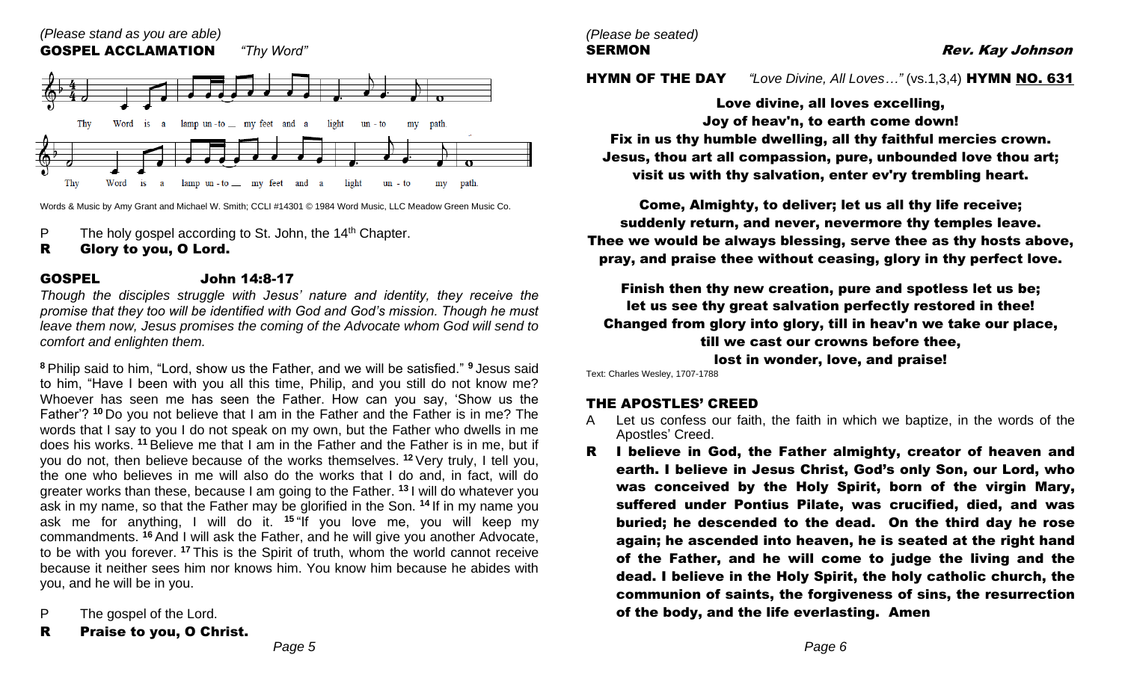

Words & Music by Amy Grant and Michael W. Smith; CCLI #14301 © 1984 Word Music, LLC Meadow Green Music Co.

- P The holy gospel according to St. John, the  $14<sup>th</sup>$  Chapter.
- R Glory to you, O Lord.

#### GOSPEL John 14:8-17

*Though the disciples struggle with Jesus' nature and identity, they receive the promise that they too will be identified with God and God's mission. Though he must leave them now, Jesus promises the coming of the Advocate whom God will send to comfort and enlighten them.*

**<sup>8</sup>** Philip said to him, "Lord, show us the Father, and we will be satisfied." **<sup>9</sup>** Jesus said to him, "Have I been with you all this time, Philip, and you still do not know me? Whoever has seen me has seen the Father. How can you say, 'Show us the Father'? **<sup>10</sup>** Do you not believe that I am in the Father and the Father is in me? The words that I say to you I do not speak on my own, but the Father who dwells in me does his works. **<sup>11</sup>** Believe me that I am in the Father and the Father is in me, but if you do not, then believe because of the works themselves. **<sup>12</sup>** Very truly, I tell you, the one who believes in me will also do the works that I do and, in fact, will do greater works than these, because I am going to the Father. **<sup>13</sup>** I will do whatever you ask in my name, so that the Father may be glorified in the Son. **<sup>14</sup>** If in my name you ask me for anything, I will do it. **<sup>15</sup>** "If you love me, you will keep my commandments. **<sup>16</sup>** And I will ask the Father, and he will give you another Advocate, to be with you forever. **<sup>17</sup>** This is the Spirit of truth, whom the world cannot receive because it neither sees him nor knows him. You know him because he abides with you, and he will be in you.

- P The gospel of the Lord.
- R Praise to you, O Christ.

*(Please be seated)*

SERMON Rev. Kay Johnson

HYMN OF THE DAY *"Love Divine, All Loves…"* (vs.1,3,4) HYMN NO. 631

Love divine, all loves excelling, Joy of heav'n, to earth come down!

Fix in us thy humble dwelling, all thy faithful mercies crown. Jesus, thou art all compassion, pure, unbounded love thou art; visit us with thy salvation, enter ev'ry trembling heart.

Come, Almighty, to deliver; let us all thy life receive; suddenly return, and never, nevermore thy temples leave. Thee we would be always blessing, serve thee as thy hosts above, pray, and praise thee without ceasing, glory in thy perfect love.

Finish then thy new creation, pure and spotless let us be; let us see thy great salvation perfectly restored in thee! Changed from glory into glory, till in heav'n we take our place, till we cast our crowns before thee, lost in wonder, love, and praise!

Text: Charles Wesley, 1707-1788

#### THE APOSTLES' CREED

- Let us confess our faith, the faith in which we baptize, in the words of the Apostles' Creed.
- R I believe in God, the Father almighty, creator of heaven and earth. I believe in Jesus Christ, God's only Son, our Lord, who was conceived by the Holy Spirit, born of the virgin Mary, suffered under Pontius Pilate, was crucified, died, and was buried; he descended to the dead. On the third day he rose again; he ascended into heaven, he is seated at the right hand of the Father, and he will come to judge the living and the dead. I believe in the Holy Spirit, the holy catholic church, the communion of saints, the forgiveness of sins, the resurrection of the body, and the life everlasting. Amen